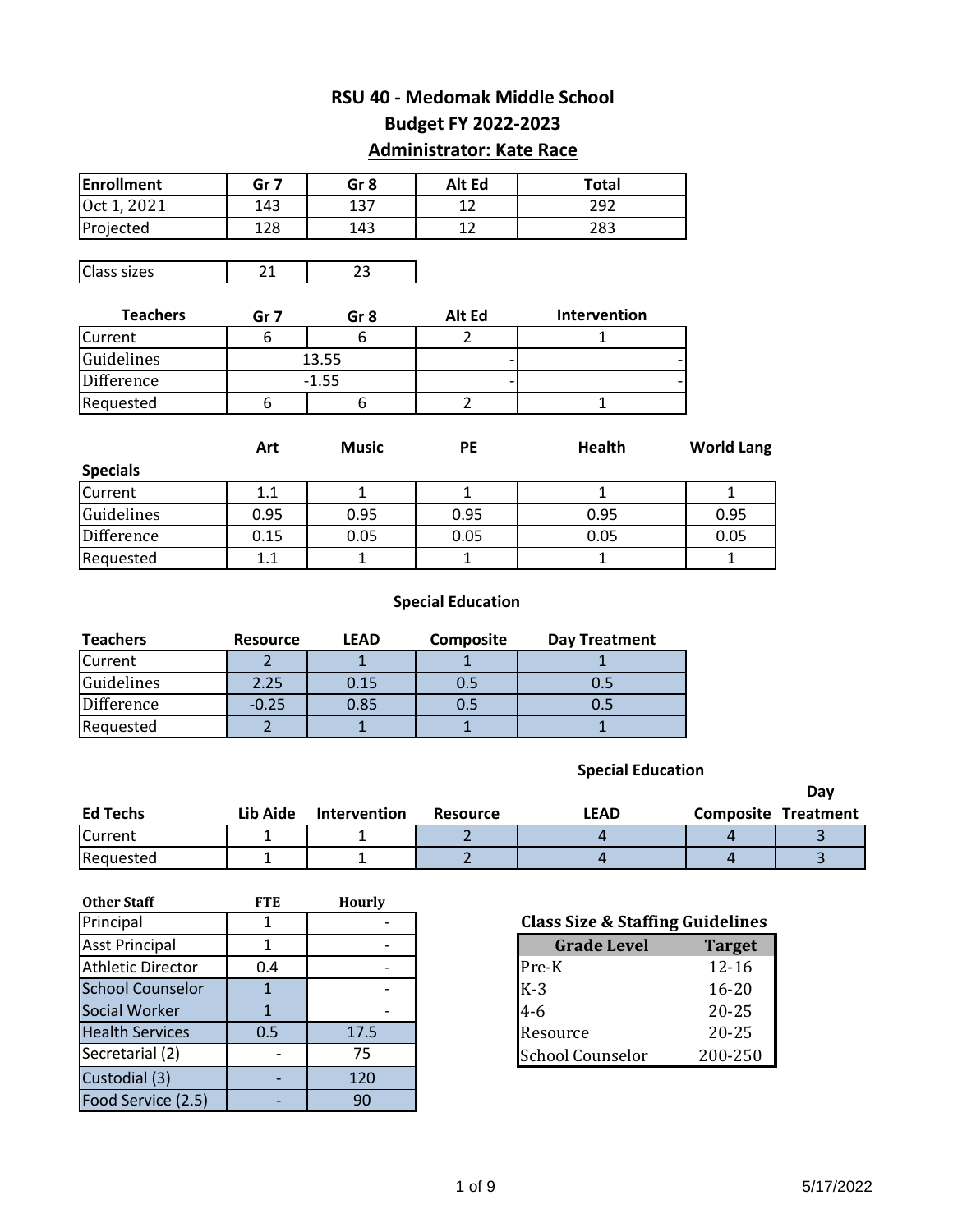## **RSU 40 - Medomak Middle School Budget FY 2022-2023 Administrator: Kate Race**

| <b>Enrollment</b> | Gr <sub>7</sub> | Gr <sub>8</sub> | Alt Ed                   | <b>Total</b>  |                   |
|-------------------|-----------------|-----------------|--------------------------|---------------|-------------------|
| Oct 1, 2021       | 143             | 137             | 12                       | 292           |                   |
| Projected         | 128             | 143             | 12                       | 283           |                   |
|                   |                 |                 |                          |               |                   |
| Class sizes       | 21              | 23              |                          |               |                   |
|                   |                 |                 |                          |               |                   |
| <b>Teachers</b>   | Gr <sub>7</sub> | Gr <sub>8</sub> | Alt Ed                   | Intervention  |                   |
| Current           | 6               | 6               | $\overline{2}$           | $\mathbf{1}$  |                   |
| Guidelines        |                 | 13.55           |                          |               |                   |
| Difference        |                 | $-1.55$         |                          |               |                   |
| Requested         | 6               | 6               | $\overline{2}$           | $\mathbf{1}$  |                   |
|                   |                 |                 |                          |               |                   |
|                   | Art             | <b>Music</b>    | <b>PE</b>                | Health        | <b>World Lang</b> |
| <b>Specials</b>   |                 |                 |                          |               |                   |
| Current           | 1.1             | $\mathbf{1}$    | $\mathbf{1}$             | $\mathbf{1}$  | $\mathbf{1}$      |
| Guidelines        | 0.95            | 0.95            | 0.95                     | 0.95          | 0.95              |
| Difference        | 0.15            | 0.05            | 0.05                     | 0.05          | 0.05              |
| Requested         | 1.1             | $\mathbf{1}$    | $\mathbf{1}$             | $\mathbf{1}$  | $\mathbf{1}$      |
|                   |                 |                 |                          |               |                   |
|                   |                 |                 | <b>Special Education</b> |               |                   |
| <b>Teachers</b>   | <b>Resource</b> | <b>LEAD</b>     | Composite                | Day Treatment |                   |
| Current           | $\overline{2}$  | $\mathbf{1}$    | $\overline{1}$           | $\mathbf{1}$  |                   |
| Guidelines        | 2.25            | 0.15            | 0.5                      | 0.5           |                   |
| Difference        | $-0.25$         | 0.85            | 0.5                      | 0.5           |                   |

#### **Special Education**

|                 |          |                     |                 |      | Dav                        |
|-----------------|----------|---------------------|-----------------|------|----------------------------|
| <b>Ed Techs</b> | Lib Aide | <b>Intervention</b> | <b>Resource</b> | LEAD | <b>Composite Treatment</b> |
| <b>Current</b>  |          |                     |                 |      |                            |
| Requested       |          |                     |                 |      |                            |

Requested 2 1 1 1 1

| <b>Other Staff</b>       | <b>FTE</b> | <b>Hourly</b> |                                             |               |
|--------------------------|------------|---------------|---------------------------------------------|---------------|
| Principal                |            |               | <b>Class Size &amp; Staffing Guidelines</b> |               |
| <b>Asst Principal</b>    |            |               | <b>Grade Level</b>                          | <b>Target</b> |
| <b>Athletic Director</b> | 0.4        |               | Pre-K                                       | $12 - 16$     |
| <b>School Counselor</b>  |            |               | $K-3$                                       | $16 - 20$     |
| Social Worker            |            |               | $4 - 6$                                     | $20 - 25$     |
| <b>Health Services</b>   | 0.5        | 17.5          | Resource                                    | $20 - 25$     |
| Secretarial (2)          |            | 75            | <b>School Counselor</b>                     | 200-250       |
| Custodial (3)            |            | 120           |                                             |               |
| Food Service (2.5)       |            | 90            |                                             |               |

### **Class Size & Staffing Guidelines**

| <b>Grade Level</b>      | <b>Target</b> |
|-------------------------|---------------|
| Pre-K                   | $12 - 16$     |
| $K-3$                   | $16 - 20$     |
| 4-6                     | 20-25         |
| Resource                | 20-25         |
| <b>School Counselor</b> | 200-250       |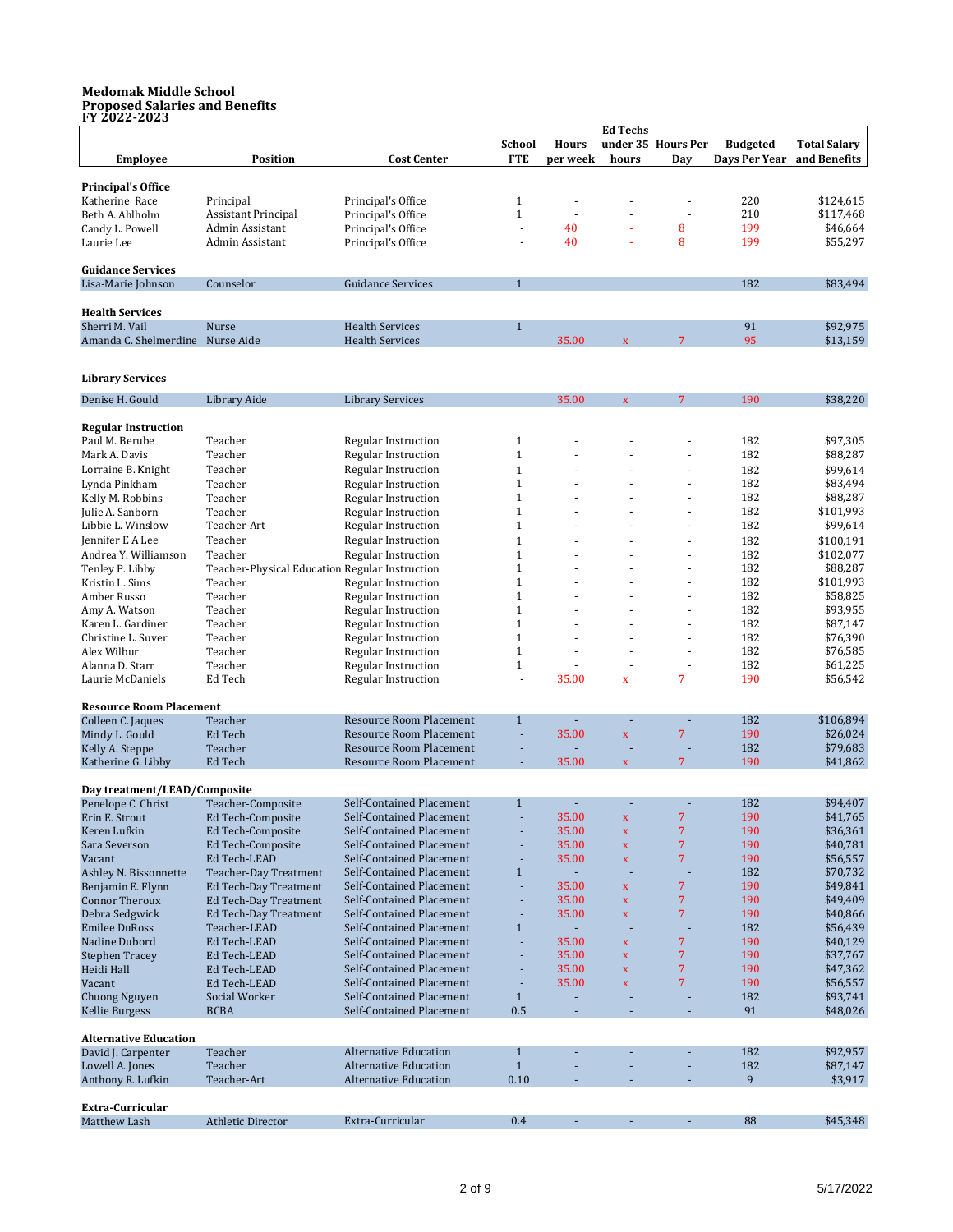#### **Medomak Middle School Proposed Salaries and Benefits FY 2022-2023**

|                                                    |                                                |                                                          |                              |                | <b>Ed Techs</b>             |                          |                 |                        |
|----------------------------------------------------|------------------------------------------------|----------------------------------------------------------|------------------------------|----------------|-----------------------------|--------------------------|-----------------|------------------------|
|                                                    |                                                |                                                          | <b>School</b>                | <b>Hours</b>   |                             | under 35 Hours Per       | <b>Budgeted</b> | <b>Total Salary</b>    |
| <b>Employee</b>                                    | Position                                       | <b>Cost Center</b>                                       | <b>FTE</b>                   | per week       | hours                       | Day                      | Days Per Year   | and Benefits           |
| <b>Principal's Office</b>                          |                                                |                                                          |                              |                |                             |                          |                 |                        |
| Katherine Race                                     | Principal                                      | Principal's Office                                       | $\mathbf{1}$                 |                |                             | $\overline{\phantom{a}}$ | 220             | \$124,615              |
| Beth A. Ahlholm                                    | Assistant Principal                            | Principal's Office                                       | $\mathbf{1}$                 |                |                             | ÷,                       | 210             | \$117,468              |
| Candy L. Powell                                    | Admin Assistant                                | Principal's Office                                       | ÷,                           | 40             |                             | 8                        | 199             | \$46,664               |
| Laurie Lee                                         | Admin Assistant                                | Principal's Office                                       |                              | 40             |                             | 8                        | 199             | \$55,297               |
| <b>Guidance Services</b>                           |                                                |                                                          |                              |                |                             |                          |                 |                        |
| Lisa-Marie Johnson                                 | Counselor                                      | <b>Guidance Services</b>                                 | $\mathbf{1}$                 |                |                             |                          | 182             | \$83,494               |
|                                                    |                                                |                                                          |                              |                |                             |                          |                 |                        |
| <b>Health Services</b>                             |                                                |                                                          |                              |                |                             |                          |                 |                        |
| Sherri M. Vail<br>Amanda C. Shelmerdine Nurse Aide | Nurse                                          | <b>Health Services</b><br><b>Health Services</b>         | $\mathbf{1}$                 | 35.00          | $\mathbf{x}$                | 7                        | 91<br>95        | \$92,975<br>\$13,159   |
|                                                    |                                                |                                                          |                              |                |                             |                          |                 |                        |
|                                                    |                                                |                                                          |                              |                |                             |                          |                 |                        |
| <b>Library Services</b>                            |                                                |                                                          |                              |                |                             |                          |                 |                        |
| Denise H. Gould                                    | Library Aide                                   | <b>Library Services</b>                                  |                              | 35.00          | $\mathbf x$                 | 7                        | 190             | \$38,220               |
| <b>Regular Instruction</b>                         |                                                |                                                          |                              |                |                             |                          |                 |                        |
| Paul M. Berube                                     | Teacher                                        | Regular Instruction                                      | $\mathbf{1}$                 |                |                             |                          | 182             | \$97,305               |
| Mark A. Davis                                      | Teacher                                        | <b>Regular Instruction</b>                               | $\mathbf{1}$                 |                |                             | Ĭ.                       | 182             | \$88,287               |
| Lorraine B. Knight                                 | Teacher                                        | <b>Regular Instruction</b>                               | $\mathbf{1}$                 |                |                             |                          | 182             | \$99,614               |
| Lynda Pinkham                                      | Teacher                                        | <b>Regular Instruction</b>                               | $\mathbf{1}$                 |                |                             | ÷.                       | 182             | \$83,494               |
| Kelly M. Robbins                                   | Teacher                                        | <b>Regular Instruction</b>                               | $\mathbf{1}$                 |                |                             | ä,                       | 182             | \$88,287               |
| Julie A. Sanborn                                   | Teacher                                        | Regular Instruction                                      | $\mathbf{1}$                 |                |                             | ä,                       | 182             | \$101,993              |
| Libbie L. Winslow                                  | Teacher-Art                                    | Regular Instruction                                      | $\mathbf{1}$                 |                |                             |                          | 182             | \$99,614               |
| Jennifer E A Lee<br>Andrea Y. Williamson           | Teacher<br>Teacher                             | <b>Regular Instruction</b><br><b>Regular Instruction</b> | $\mathbf{1}$<br>$\mathbf{1}$ |                |                             | ÷,                       | 182<br>182      | \$100,191<br>\$102,077 |
| Tenley P. Libby                                    | Teacher-Physical Education Regular Instruction |                                                          | $\mathbf{1}$                 |                |                             |                          | 182             | \$88,287               |
| Kristin L. Sims                                    | Teacher                                        | <b>Regular Instruction</b>                               | $\mathbf{1}$                 |                |                             | ÷,                       | 182             | \$101,993              |
| Amber Russo                                        | Teacher                                        | Regular Instruction                                      | $\mathbf{1}$                 |                |                             | ä,                       | 182             | \$58,825               |
| Amy A. Watson                                      | Teacher                                        | Regular Instruction                                      | $\mathbf{1}$                 |                |                             | ÷,                       | 182             | \$93,955               |
| Karen L. Gardiner                                  | Teacher                                        | <b>Regular Instruction</b>                               | $\mathbf{1}$                 |                |                             |                          | 182             | \$87,147               |
| Christine L. Suver                                 | Teacher                                        | Regular Instruction                                      | $\mathbf{1}$                 |                |                             | ÷,                       | 182             | \$76,390               |
| Alex Wilbur<br>Alanna D. Starr                     | Teacher<br>Teacher                             | <b>Regular Instruction</b><br><b>Regular Instruction</b> | $\mathbf{1}$<br>$\mathbf{1}$ | L.<br>ä,       | ä,                          | ä,                       | 182<br>182      | \$76,585<br>\$61,225   |
| Laurie McDaniels                                   | Ed Tech                                        | Regular Instruction                                      |                              | 35.00          | $\mathbf x$                 | 7                        | 190             | \$56,542               |
|                                                    |                                                |                                                          |                              |                |                             |                          |                 |                        |
| <b>Resource Room Placement</b>                     |                                                |                                                          |                              |                |                             |                          |                 |                        |
| Colleen C. Jaques                                  | Teacher                                        | <b>Resource Room Placement</b>                           | $\mathbf{1}$                 |                |                             |                          | 182             | \$106,894              |
| Mindy L. Gould                                     | Ed Tech<br>Teacher                             | Resource Room Placement<br>Resource Room Placement       | ÷,                           | 35.00          | $\mathbf x$                 | $\overline{7}$           | 190<br>182      | \$26,024<br>\$79,683   |
| Kelly A. Steppe<br>Katherine G. Libby              | Ed Tech                                        | Resource Room Placement                                  |                              | 35.00          | $\mathbf{x}$                | $\overline{7}$           | 190             | \$41,862               |
|                                                    |                                                |                                                          |                              |                |                             |                          |                 |                        |
| Day treatment/LEAD/Composite                       |                                                |                                                          |                              |                |                             |                          |                 |                        |
| Penelope C. Christ                                 | Teacher-Composite                              | Self-Contained Placement                                 | $\mathbf{1}$                 |                |                             |                          | 182             | \$94,407               |
| Erin E. Strout<br>Keren Lufkin                     | Ed Tech-Composite<br>Ed Tech-Composite         | Self-Contained Placement<br>Self-Contained Placement     | ä,                           | 35.00<br>35.00 | $\mathbf{x}$<br>$\mathbf x$ | 7<br>$\overline{7}$      | 190<br>190      | \$41,765<br>\$36,361   |
| Sara Severson                                      | <b>Ed Tech-Composite</b>                       | Self-Contained Placement                                 | ÷                            | 35.00          | $\mathbf x$                 | 7                        | 190             | \$40,781               |
| Vacant                                             | Ed Tech-LEAD                                   | Self-Contained Placement                                 | ÷                            | 35.00          | $\mathbf x$                 | 7                        | 190             | \$56,557               |
| Ashley N. Bissonnette                              | Teacher-Day Treatment                          | Self-Contained Placement                                 | $\mathbf{1}$                 | $\blacksquare$ |                             | ÷,                       | 182             | \$70,732               |
| Benjamin E. Flynn                                  | Ed Tech-Day Treatment                          | Self-Contained Placement                                 | ä,                           | 35.00          | $\mathbf x$                 | $\overline{7}$           | 190             | \$49,841               |
| <b>Connor Theroux</b>                              | <b>Ed Tech-Day Treatment</b>                   | Self-Contained Placement                                 | ÷                            | 35.00          | $\mathbf x$                 | 7                        | 190             | \$49,409               |
| Debra Sedgwick                                     | Ed Tech-Day Treatment<br>Teacher-LEAD          | Self-Contained Placement<br>Self-Contained Placement     | ÷<br>$\mathbf{1}$            | 35.00          | $\mathbf x$                 | 7                        | 190<br>182      | \$40,866               |
| <b>Emilee DuRoss</b><br>Nadine Dubord              | Ed Tech-LEAD                                   | <b>Self-Contained Placement</b>                          | ÷.                           | 35.00          | $\mathbf x$                 | $\overline{7}$           | 190             | \$56,439<br>\$40,129   |
| <b>Stephen Tracey</b>                              | Ed Tech-LEAD                                   | Self-Contained Placement                                 | ÷,                           | 35.00          | $\mathbf x$                 | 7                        | 190             | \$37,767               |
| Heidi Hall                                         | Ed Tech-LEAD                                   | Self-Contained Placement                                 | ÷                            | 35.00          | $\mathbf x$                 | 7                        | 190             | \$47,362               |
| Vacant                                             | Ed Tech-LEAD                                   | Self-Contained Placement                                 | ٠                            | 35.00          | $\mathbf x$                 | 7                        | 190             | \$56,557               |
| Chuong Nguyen                                      | Social Worker                                  | Self-Contained Placement                                 | $\mathbf{1}$                 |                |                             |                          | 182             | \$93,741               |
| Kellie Burgess                                     | <b>BCBA</b>                                    | Self-Contained Placement                                 | 0.5                          |                |                             |                          | 91              | \$48,026               |
| <b>Alternative Education</b>                       |                                                |                                                          |                              |                |                             |                          |                 |                        |
| David J. Carpenter                                 | Teacher                                        | <b>Alternative Education</b>                             | $\mathbf{1}$                 |                |                             |                          | 182             | \$92,957               |
| Lowell A. Jones                                    | Teacher                                        | <b>Alternative Education</b>                             | $\mathbf{1}$                 |                |                             |                          | 182             | \$87,147               |
| Anthony R. Lufkin                                  | Teacher-Art                                    | <b>Alternative Education</b>                             | 0.10                         |                |                             |                          | 9               | \$3,917                |
|                                                    |                                                |                                                          |                              |                |                             |                          |                 |                        |
| Extra-Curricular<br>Matthew Lash                   | <b>Athletic Director</b>                       | Extra-Curricular                                         | 0.4                          |                | ä,                          | ÷,                       | 88              | \$45,348               |
|                                                    |                                                |                                                          |                              |                |                             |                          |                 |                        |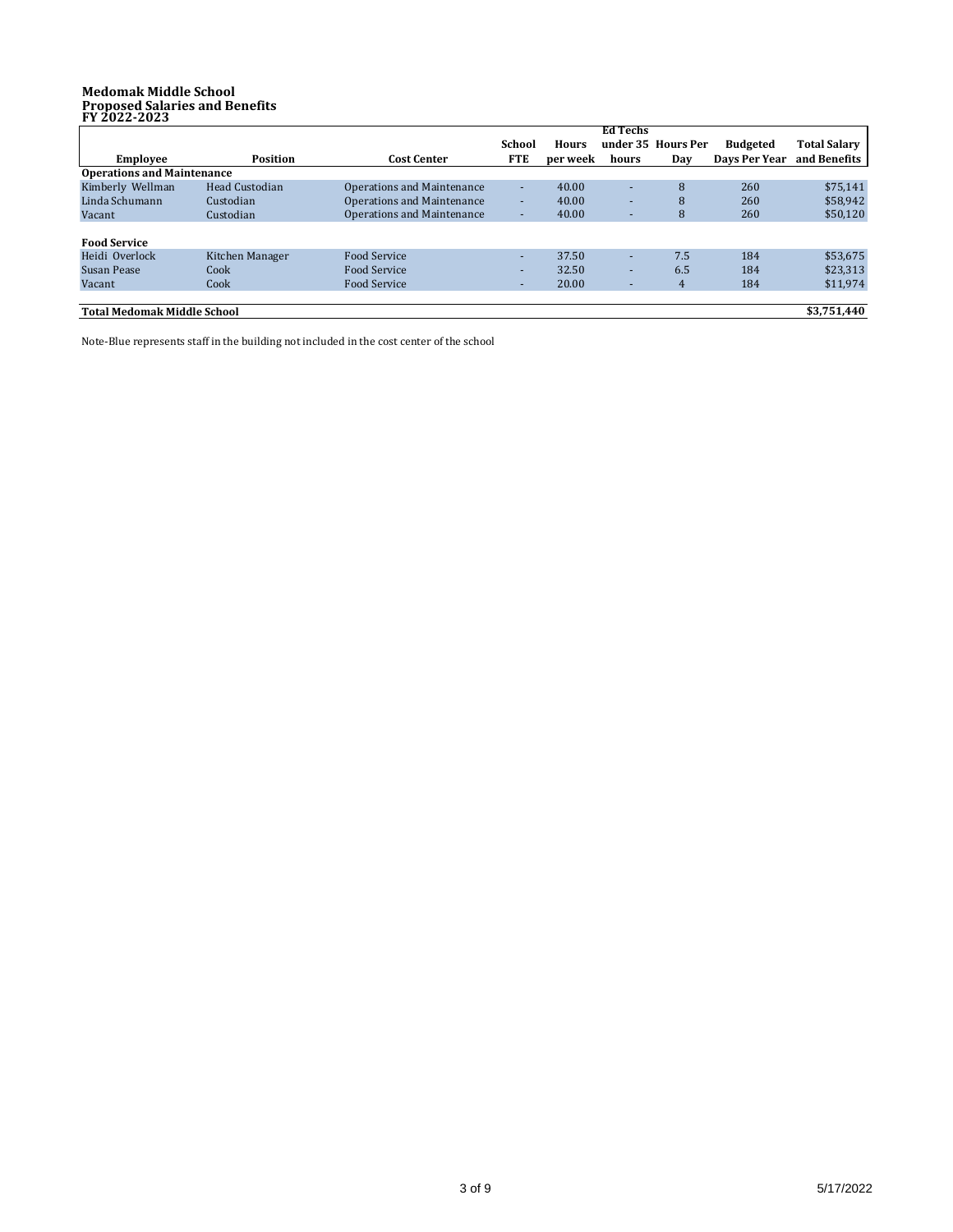#### **Medomak Middle School Proposed Salaries and Benefits FY 2022-2023**

|                                    |                 |                                   |               |              | Ed Techs                 |                    |                 |                     |
|------------------------------------|-----------------|-----------------------------------|---------------|--------------|--------------------------|--------------------|-----------------|---------------------|
|                                    |                 |                                   | <b>School</b> | <b>Hours</b> |                          | under 35 Hours Per | <b>Budgeted</b> | <b>Total Salary</b> |
| Employee                           | Position        | <b>Cost Center</b>                | <b>FTE</b>    | per week     | hours                    | Dav                | Davs Per Year   | and Benefits        |
| <b>Operations and Maintenance</b>  |                 |                                   |               |              |                          |                    |                 |                     |
| Kimberly Wellman                   | Head Custodian  | Operations and Maintenance        | ۰.            | 40.00        |                          | 8                  | 260             | \$75,141            |
| Linda Schumann                     | Custodian       | <b>Operations and Maintenance</b> | ۰.            | 40.00        |                          | 8                  | 260             | \$58,942            |
| Vacant                             | Custodian       | Operations and Maintenance        | ۰.            | 40.00        |                          | 8                  | 260             | \$50,120            |
|                                    |                 |                                   |               |              |                          |                    |                 |                     |
| <b>Food Service</b>                |                 |                                   |               |              |                          |                    |                 |                     |
| Heidi Overlock                     | Kitchen Manager | <b>Food Service</b>               |               | 37.50        |                          | 7.5                | 184             | \$53,675            |
| Susan Pease                        | Cook            | Food Service                      |               | 32.50        |                          | 6.5                | 184             | \$23,313            |
| Vacant                             | Cook            | Food Service                      | ۰.            | 20.00        | $\overline{\phantom{a}}$ | 4                  | 184             | \$11,974            |
| <b>Total Medomak Middle School</b> |                 |                                   |               |              |                          |                    |                 | \$3,751,440         |
|                                    |                 |                                   |               |              |                          |                    |                 |                     |

Note-Blue represents staff in the building not included in the cost center of the school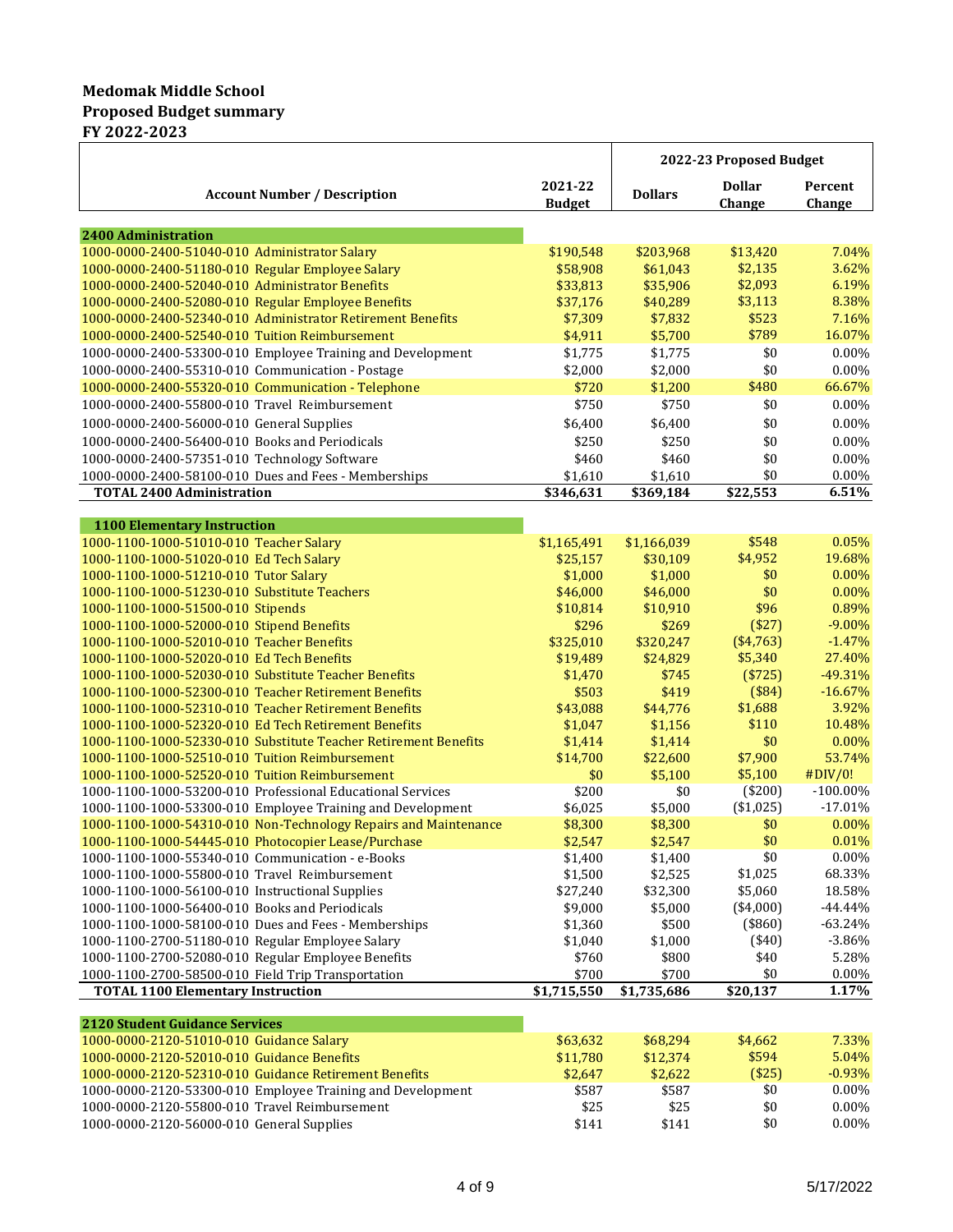#### **Medomak Middle School Proposed Budget summary FY 2022-2023**

|                                                                                                                  |                          | 2022-23 Proposed Budget |                         |                   |
|------------------------------------------------------------------------------------------------------------------|--------------------------|-------------------------|-------------------------|-------------------|
| <b>Account Number / Description</b>                                                                              | 2021-22<br><b>Budget</b> | <b>Dollars</b>          | <b>Dollar</b><br>Change | Percent<br>Change |
|                                                                                                                  |                          |                         |                         |                   |
| <b>2400 Administration</b>                                                                                       |                          |                         |                         |                   |
| 1000-0000-2400-51040-010 Administrator Salary                                                                    | \$190,548                | \$203,968               | \$13,420                | 7.04%             |
| 1000-0000-2400-51180-010 Regular Employee Salary                                                                 | \$58,908                 | \$61,043                | \$2,135                 | 3.62%             |
| 1000-0000-2400-52040-010 Administrator Benefits                                                                  | \$33,813                 | \$35,906                | \$2,093                 | 6.19%             |
| 1000-0000-2400-52080-010 Regular Employee Benefits<br>1000-0000-2400-52340-010 Administrator Retirement Benefits | \$37,176                 | \$40,289                | \$3,113<br>\$523        | 8.38%             |
| 1000-0000-2400-52540-010 Tuition Reimbursement                                                                   | \$7,309<br>\$4,911       | \$7,832<br>\$5,700      | \$789                   | 7.16%<br>16.07%   |
| 1000-0000-2400-53300-010 Employee Training and Development                                                       | \$1,775                  | \$1,775                 | \$0                     | 0.00%             |
| 1000-0000-2400-55310-010 Communication - Postage                                                                 | \$2,000                  | \$2,000                 | \$0                     | 0.00%             |
| 1000-0000-2400-55320-010 Communication - Telephone                                                               | \$720                    | \$1,200                 | \$480                   | 66.67%            |
| 1000-0000-2400-55800-010 Travel Reimbursement                                                                    | \$750                    | \$750                   | \$0                     | 0.00%             |
|                                                                                                                  |                          |                         |                         |                   |
| 1000-0000-2400-56000-010 General Supplies                                                                        | \$6,400                  | \$6,400                 | \$0                     | 0.00%             |
| 1000-0000-2400-56400-010 Books and Periodicals                                                                   | \$250                    | \$250                   | \$0                     | 0.00%             |
| 1000-0000-2400-57351-010 Technology Software                                                                     | \$460                    | \$460                   | \$0                     | 0.00%             |
| 1000-0000-2400-58100-010 Dues and Fees - Memberships                                                             | \$1,610                  | \$1,610                 | \$0                     | 0.00%             |
| <b>TOTAL 2400 Administration</b>                                                                                 | $\overline{$}346,631$    | \$369,184               | \$22,553                | 6.51%             |
| <b>1100 Elementary Instruction</b>                                                                               |                          |                         |                         |                   |
| 1000-1100-1000-51010-010 Teacher Salary                                                                          | \$1,165,491              | \$1,166,039             | \$548                   | 0.05%             |
| 1000-1100-1000-51020-010 Ed Tech Salary                                                                          | \$25,157                 | \$30,109                | \$4,952                 | 19.68%            |
| 1000-1100-1000-51210-010 Tutor Salary                                                                            | \$1,000                  | \$1,000                 | \$0                     | $0.00\%$          |
| 1000-1100-1000-51230-010 Substitute Teachers                                                                     | \$46,000                 | \$46,000                | \$0                     | 0.00%             |
| 1000-1100-1000-51500-010 Stipends                                                                                | \$10,814                 | \$10,910                | \$96                    | 0.89%             |
| 1000-1100-1000-52000-010 Stipend Benefits                                                                        | \$296                    | \$269                   | (\$27)                  | $-9.00%$          |
| 1000-1100-1000-52010-010 Teacher Benefits                                                                        | \$325,010                | \$320,247               | (\$4,763)               | $-1.47%$          |
| 1000-1100-1000-52020-010 Ed Tech Benefits                                                                        | \$19,489                 | \$24,829                | \$5,340                 | 27.40%            |
| 1000-1100-1000-52030-010 Substitute Teacher Benefits                                                             | \$1,470                  | \$745                   | (\$725)                 | $-49.31%$         |
| 1000-1100-1000-52300-010 Teacher Retirement Benefits                                                             | \$503                    | \$419                   | (\$84)                  | $-16.67%$         |
| 1000-1100-1000-52310-010 Teacher Retirement Benefits                                                             | \$43,088                 | \$44,776                | \$1,688                 | 3.92%             |
| 1000-1100-1000-52320-010 Ed Tech Retirement Benefits                                                             | \$1,047                  | \$1,156                 | \$110                   | 10.48%            |
| 1000-1100-1000-52330-010 Substitute Teacher Retirement Benefits                                                  | \$1,414                  | \$1,414                 | \$0                     | 0.00%             |
| 1000-1100-1000-52510-010 Tuition Reimbursement                                                                   | \$14,700                 | \$22,600                | \$7,900                 | 53.74%            |
| 1000-1100-1000-52520-010 Tuition Reimbursement                                                                   | \$0                      | \$5,100                 | \$5,100                 | #DIV/0!           |
| 1000-1100-1000-53200-010 Professional Educational Services                                                       | \$200                    | \$0                     | (\$200)                 | $-100.00\%$       |
| 1000-1100-1000-53300-010 Employee Training and Development                                                       | \$6,025                  | \$5,000                 | (\$1,025)               | $-17.01%$         |
| 1000-1100-1000-54310-010 Non-Technology Repairs and Maintenance                                                  | \$8,300                  | \$8,300                 | \$0                     | $0.00\%$          |
| 1000-1100-1000-54445-010 Photocopier Lease/Purchase                                                              | \$2,547                  | \$2,547                 | \$0                     | 0.01%             |
| 1000-1100-1000-55340-010 Communication - e-Books                                                                 | \$1,400                  | \$1,400                 | \$0                     | 0.00%             |
| 1000-1100-1000-55800-010 Travel Reimbursement                                                                    | \$1,500                  | \$2,525                 | \$1,025                 | 68.33%            |
| 1000-1100-1000-56100-010 Instructional Supplies                                                                  | \$27,240                 | \$32,300                | \$5,060                 | 18.58%            |
| 1000-1100-1000-56400-010 Books and Periodicals                                                                   | \$9,000                  | \$5,000                 | $(*4,000)$              | $-44.44%$         |
| 1000-1100-1000-58100-010 Dues and Fees - Memberships                                                             | \$1,360                  | \$500                   | (\$860)                 | $-63.24%$         |
| 1000-1100-2700-51180-010 Regular Employee Salary                                                                 | \$1,040                  | \$1,000                 | $(*40)$                 | $-3.86%$          |
| 1000-1100-2700-52080-010 Regular Employee Benefits                                                               | \$760                    | \$800                   | \$40                    | 5.28%             |
| 1000-1100-2700-58500-010 Field Trip Transportation                                                               | \$700                    | \$700                   | \$0                     | 0.00%             |
| <b>TOTAL 1100 Elementary Instruction</b>                                                                         | \$1,715,550              | \$1,735,686             | \$20,137                | 1.17%             |
| <b>2120 Student Guidance Services</b>                                                                            |                          |                         |                         |                   |
| 1000-0000-2120-51010-010 Guidance Salary                                                                         | \$63,632                 | \$68,294                | \$4,662                 | 7.33%             |
| 1000-0000-2120-52010-010 Guidance Benefits                                                                       | \$11,780                 | \$12,374                | \$594                   | 5.04%             |
| 1000-0000-2120-52310-010 Guidance Retirement Benefits                                                            | \$2,647                  | \$2,622                 | (\$25)                  | $-0.93%$          |
| 1000-0000-2120-53300-010 Employee Training and Development                                                       | \$587                    | \$587                   | \$0                     | 0.00%             |
| 1000-0000-2120-55800-010 Travel Reimbursement                                                                    | \$25                     | \$25                    | \$0                     | 0.00%             |
| 1000-0000-2120-56000-010 General Supplies                                                                        | \$141                    | \$141                   | \$0                     | 0.00%             |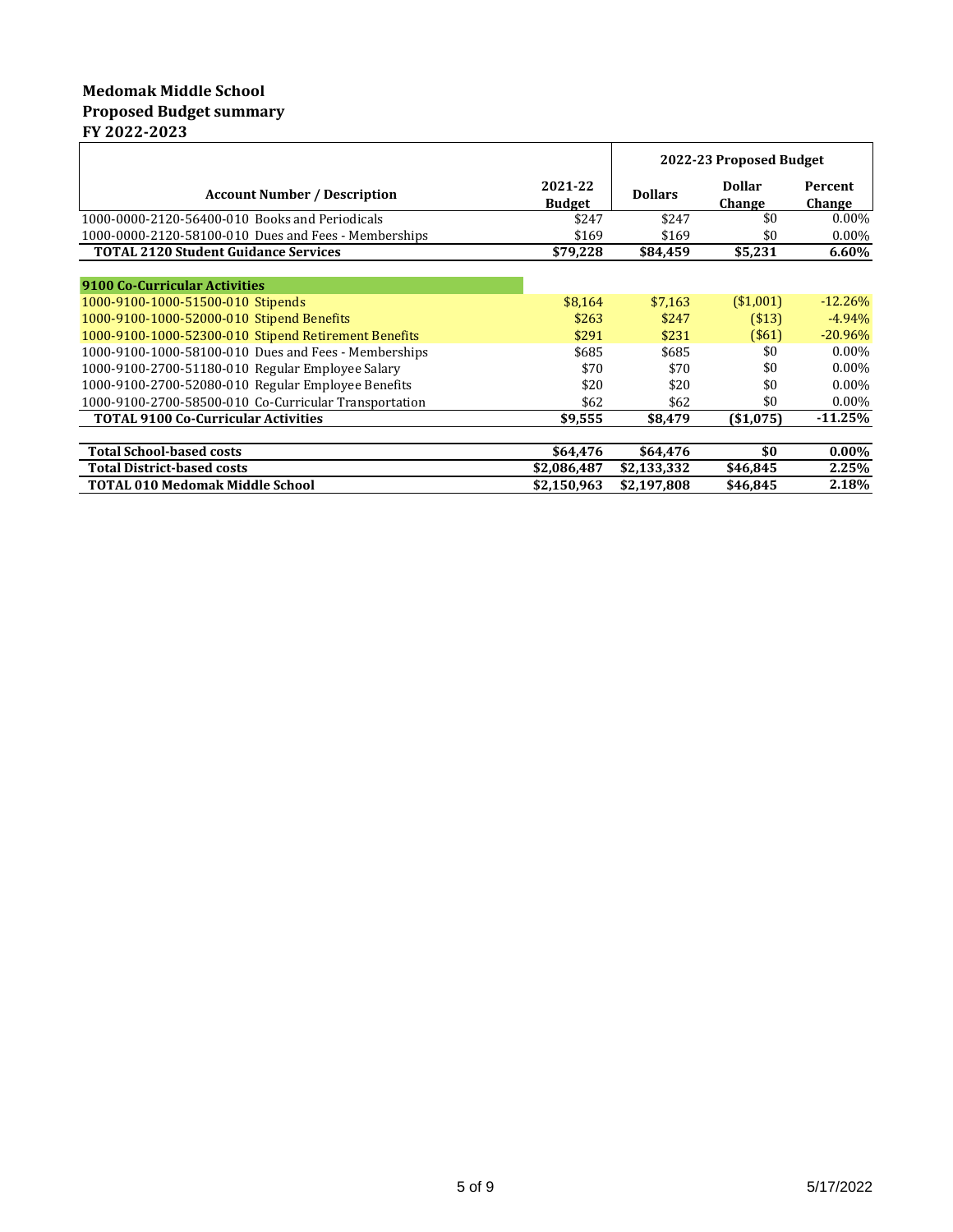#### **Medomak Middle School Proposed Budget summary FY 2022-2023**

|                                                       |                          | 2022-23 Proposed Budget |                         |                   |
|-------------------------------------------------------|--------------------------|-------------------------|-------------------------|-------------------|
| <b>Account Number / Description</b>                   | 2021-22<br><b>Budget</b> | <b>Dollars</b>          | <b>Dollar</b><br>Change | Percent<br>Change |
| 1000-0000-2120-56400-010 Books and Periodicals        | \$247                    | \$247                   | \$0                     | $0.00\%$          |
| 1000-0000-2120-58100-010 Dues and Fees - Memberships  | \$169                    | \$169                   | \$0                     | $0.00\%$          |
| <b>TOTAL 2120 Student Guidance Services</b>           | \$79,228                 | \$84,459                | \$5,231                 | 6.60%             |
|                                                       |                          |                         |                         |                   |
| 9100 Co-Curricular Activities                         |                          |                         |                         |                   |
| 1000-9100-1000-51500-010 Stipends                     | \$8,164                  | \$7,163                 | (\$1,001)               | $-12.26%$         |
| 1000-9100-1000-52000-010 Stipend Benefits             | \$263                    | \$247                   | ( \$13)                 | $-4.94%$          |
| 1000-9100-1000-52300-010 Stipend Retirement Benefits  | \$291                    | \$231                   | $($ \$61)               | $-20.96%$         |
| 1000-9100-1000-58100-010 Dues and Fees - Memberships  | \$685                    | \$685                   | \$0                     | $0.00\%$          |
| 1000-9100-2700-51180-010 Regular Employee Salary      | \$70                     | \$70                    | \$0                     | $0.00\%$          |
| 1000-9100-2700-52080-010 Regular Employee Benefits    | \$20                     | \$20                    | \$0                     | $0.00\%$          |
| 1000-9100-2700-58500-010 Co-Curricular Transportation | \$62                     | \$62                    | \$0                     | $0.00\%$          |
| <b>TOTAL 9100 Co-Curricular Activities</b>            | \$9,555                  | \$8,479                 | ( \$1,075)              | $-11.25%$         |
|                                                       |                          |                         |                         |                   |
| <b>Total School-based costs</b>                       | \$64,476                 | \$64,476                | \$0                     | $0.00\%$          |
| <b>Total District-based costs</b>                     | \$2,086,487              | \$2,133,332             | \$46,845                | 2.25%             |
| <b>TOTAL 010 Medomak Middle School</b>                | \$2,150,963              | \$2,197,808             | \$46,845                | 2.18%             |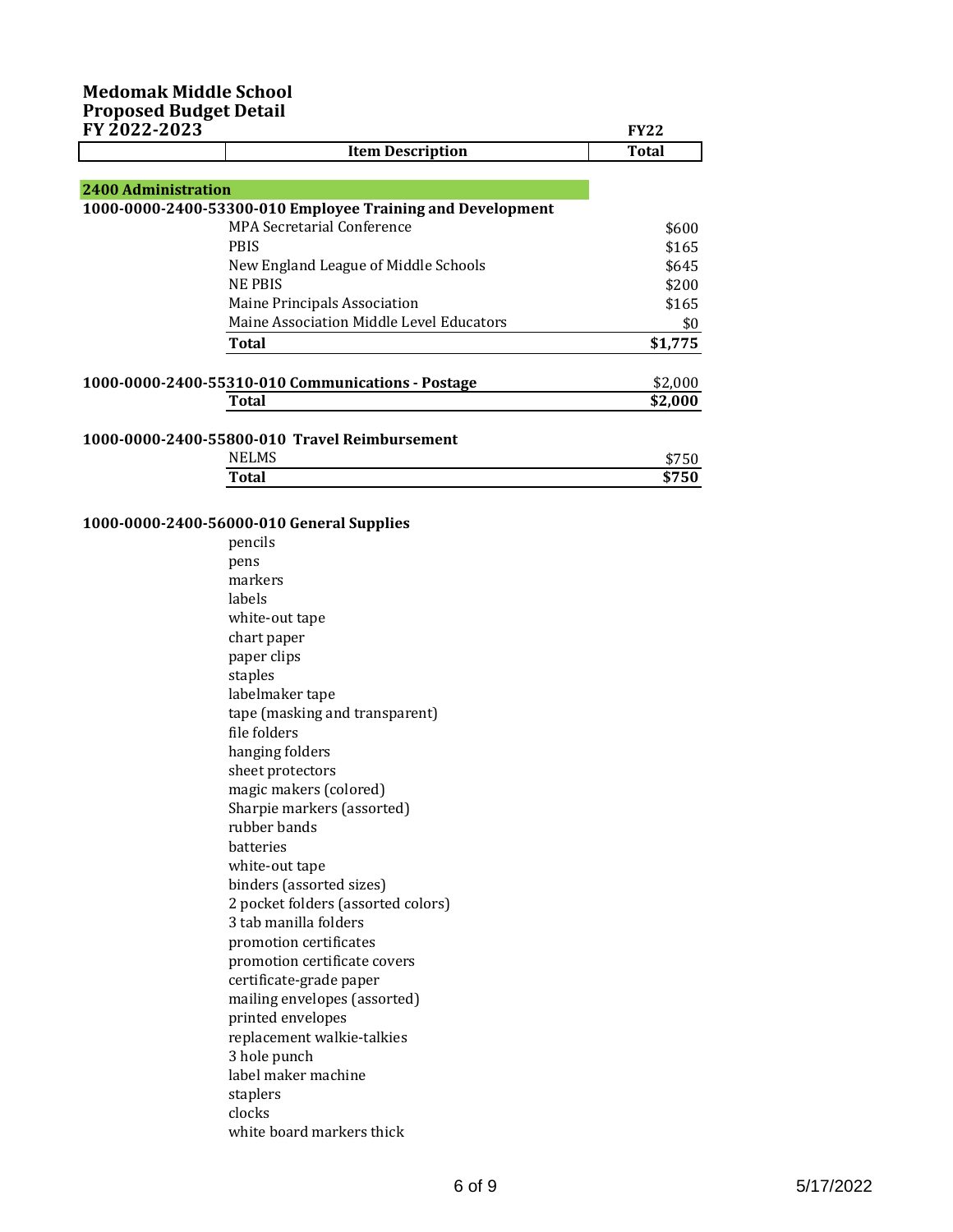| FY 2022-2023               |                                                            | <b>FY22</b>  |
|----------------------------|------------------------------------------------------------|--------------|
|                            | <b>Item Description</b>                                    | <b>Total</b> |
|                            |                                                            |              |
| <b>2400 Administration</b> |                                                            |              |
|                            | 1000-0000-2400-53300-010 Employee Training and Development |              |
|                            | <b>MPA Secretarial Conference</b>                          | \$600        |
|                            | <b>PBIS</b>                                                | \$165        |
|                            | New England League of Middle Schools                       | \$645        |
|                            | <b>NE PBIS</b>                                             | \$200        |
|                            | Maine Principals Association                               | \$165        |
|                            | Maine Association Middle Level Educators                   | \$0          |
|                            | <b>Total</b>                                               | \$1,775      |
|                            |                                                            |              |
|                            | 1000-0000-2400-55310-010 Communications - Postage          | \$2,000      |
|                            | Total                                                      | \$2,000      |
|                            |                                                            |              |

#### **1000-0000-2400-55800-010 Travel Reimbursement**

| <b>NELMS</b> | ホワビハ<br>.D |
|--------------|------------|
| <b>Total</b> | 75h        |

#### **1000-0000-2400-56000-010 General Supplies**

| ,,,,<br>,,,<br>21 U V<br>.pp       |
|------------------------------------|
| pencils                            |
| pens                               |
| markers                            |
| labels                             |
| white-out tape                     |
| chart paper                        |
| paper clips                        |
| staples                            |
| labelmaker tape                    |
| tape (masking and transparent)     |
| file folders                       |
| hanging folders                    |
| sheet protectors                   |
| magic makers (colored)             |
| Sharpie markers (assorted)         |
| rubber bands                       |
| batteries                          |
| white-out tape                     |
| binders (assorted sizes)           |
| 2 pocket folders (assorted colors) |
| 3 tab manilla folders              |
| promotion certificates             |
| promotion certificate covers       |
| certificate-grade paper            |
| mailing envelopes (assorted)       |
| printed envelopes                  |
| replacement walkie-talkies         |
| 3 hole punch                       |
| label maker machine                |
| staplers                           |
| clocks                             |
| white board markers thick          |
|                                    |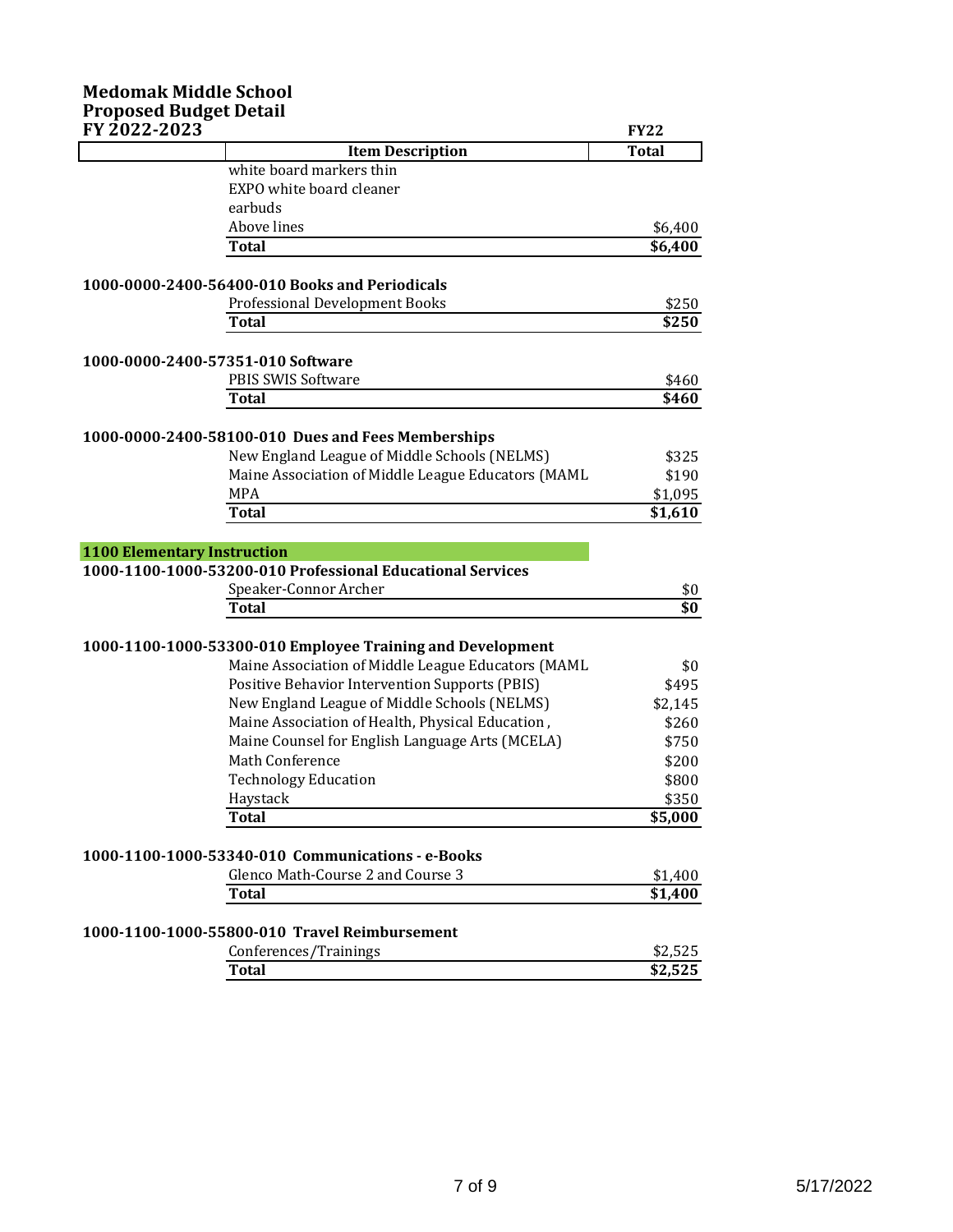# **Medomak Middle School Proposed Budget Detail**

| FY 2022-2023                       |                                                                                        | <b>FY22</b>        |
|------------------------------------|----------------------------------------------------------------------------------------|--------------------|
|                                    | <b>Item Description</b>                                                                | <b>Total</b>       |
|                                    | white board markers thin                                                               |                    |
|                                    | EXPO white board cleaner                                                               |                    |
|                                    | earbuds                                                                                |                    |
|                                    | Above lines                                                                            | \$6,400            |
|                                    | <b>Total</b>                                                                           | \$6,400            |
|                                    |                                                                                        |                    |
|                                    | 1000-0000-2400-56400-010 Books and Periodicals<br>Professional Development Books       |                    |
|                                    |                                                                                        | \$250<br>\$250     |
|                                    | <b>Total</b>                                                                           |                    |
| 1000-0000-2400-57351-010 Software  |                                                                                        |                    |
|                                    | PBIS SWIS Software                                                                     | \$460              |
|                                    | Total                                                                                  | $\overline{\$}460$ |
|                                    |                                                                                        |                    |
|                                    | 1000-0000-2400-58100-010 Dues and Fees Memberships                                     |                    |
|                                    | New England League of Middle Schools (NELMS)                                           | \$325              |
|                                    | Maine Association of Middle League Educators (MAML                                     | \$190              |
|                                    | <b>MPA</b>                                                                             | \$1,095            |
|                                    | <b>Total</b>                                                                           | \$1,610            |
|                                    |                                                                                        |                    |
| <b>1100 Elementary Instruction</b> |                                                                                        |                    |
|                                    | 1000-1100-1000-53200-010 Professional Educational Services                             |                    |
|                                    | Speaker-Connor Archer                                                                  | \$0                |
|                                    | Total                                                                                  | $\overline{\$0}$   |
|                                    |                                                                                        |                    |
|                                    | 1000-1100-1000-53300-010 Employee Training and Development                             |                    |
|                                    | Maine Association of Middle League Educators (MAML                                     | \$0                |
|                                    | Positive Behavior Intervention Supports (PBIS)                                         | \$495              |
|                                    | New England League of Middle Schools (NELMS)                                           | \$2,145            |
|                                    | Maine Association of Health, Physical Education,                                       | \$260              |
|                                    | Maine Counsel for English Language Arts (MCELA)                                        | \$750              |
|                                    | <b>Math Conference</b>                                                                 | \$200              |
|                                    | <b>Technology Education</b>                                                            | \$800              |
|                                    | Haystack                                                                               | \$350              |
|                                    | <b>Total</b>                                                                           | \$5,000            |
|                                    |                                                                                        |                    |
|                                    | 1000-1100-1000-53340-010 Communications - e-Books<br>Glenco Math-Course 2 and Course 3 |                    |
|                                    |                                                                                        | \$1,400            |
|                                    | Total                                                                                  | \$1,400            |
|                                    | 1000-1100-1000-55800-010 Travel Reimbursement                                          |                    |
|                                    | Conferences/Trainings                                                                  | \$2,525            |
|                                    | <b>Total</b>                                                                           | \$2,525            |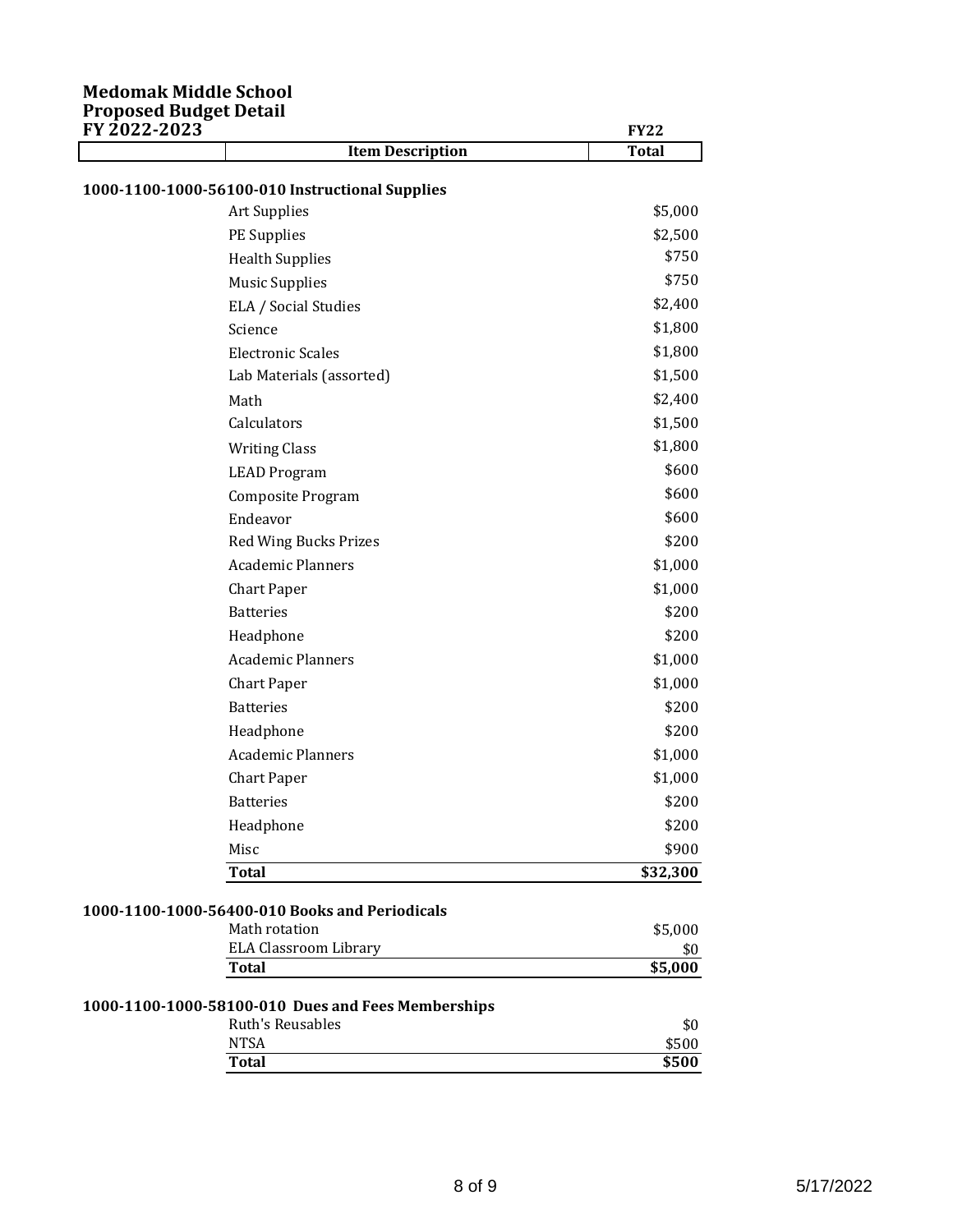| FY 2022-2023 |                                                    | <b>FY22</b>         |
|--------------|----------------------------------------------------|---------------------|
|              | <b>Item Description</b>                            | <b>Total</b>        |
|              | 1000-1100-1000-56100-010 Instructional Supplies    |                     |
|              | <b>Art Supplies</b>                                | \$5,000             |
|              | PE Supplies                                        | \$2,500             |
|              | <b>Health Supplies</b>                             | \$750               |
|              | <b>Music Supplies</b>                              | \$750               |
|              | ELA / Social Studies                               | \$2,400             |
|              | Science                                            | \$1,800             |
|              |                                                    | \$1,800             |
|              | <b>Electronic Scales</b>                           | \$1,500             |
|              | Lab Materials (assorted)                           |                     |
|              | Math                                               | \$2,400             |
|              | Calculators                                        | \$1,500             |
|              | <b>Writing Class</b>                               | \$1,800             |
|              | <b>LEAD Program</b>                                | \$600               |
|              | <b>Composite Program</b>                           | \$600               |
|              | Endeavor                                           | \$600               |
|              | Red Wing Bucks Prizes                              | \$200               |
|              | <b>Academic Planners</b>                           | \$1,000             |
|              | <b>Chart Paper</b>                                 | \$1,000             |
|              | <b>Batteries</b>                                   | \$200               |
|              | Headphone                                          | \$200               |
|              | <b>Academic Planners</b>                           | \$1,000             |
|              | <b>Chart Paper</b>                                 | \$1,000             |
|              | <b>Batteries</b>                                   | \$200               |
|              | Headphone                                          | \$200               |
|              | <b>Academic Planners</b>                           | \$1,000             |
|              | <b>Chart Paper</b>                                 | \$1,000             |
|              | <b>Batteries</b>                                   | \$200               |
|              | Headphone                                          | \$200               |
|              | Misc                                               | \$900               |
|              | <b>Total</b>                                       | \$32,300            |
|              | 1000-1100-1000-56400-010 Books and Periodicals     |                     |
|              | Math rotation                                      | \$5,000             |
|              | <b>ELA Classroom Library</b>                       | \$0                 |
|              | <b>Total</b>                                       | $\overline{$}5,000$ |
|              | 1000-1100-1000-58100-010 Dues and Fees Memberships |                     |
|              | Ruth's Reusables                                   | \$0                 |
|              | <b>NTSA</b>                                        | \$500               |
|              | <b>Total</b>                                       | \$500               |